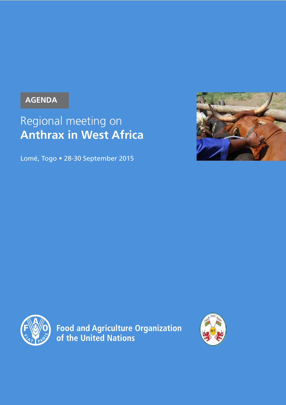### **AGENDA**

# Regional meeting on **Anthrax in West Africa**

Lomé, Togo • 28-30 September 2015





**Food and Agriculture Organization<br>of the United Nations** 

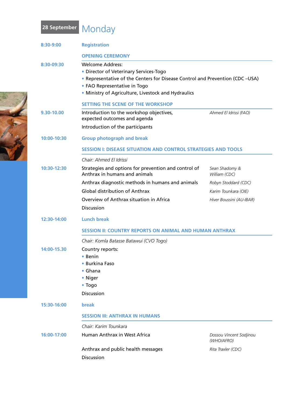# **28 September** Monday

| 8:30-9:00   | <b>Registration</b>                                                                                                                                                                                                                      |                                       |
|-------------|------------------------------------------------------------------------------------------------------------------------------------------------------------------------------------------------------------------------------------------|---------------------------------------|
|             | <b>OPENING CEREMONY</b>                                                                                                                                                                                                                  |                                       |
| 8:30-09:30  | <b>Welcome Address:</b><br>• Director of Veterinary Services-Togo<br>• Representative of the Centers for Disease Control and Prevention (CDC-USA)<br>• FAO Representative in Togo<br>• Ministry of Agriculture, Livestock and Hydraulics |                                       |
|             | <b>SETTING THE SCENE OF THE WORKSHOP</b>                                                                                                                                                                                                 |                                       |
| 9.30-10.00  | Introduction to the workshop objectives,<br>expected outcomes and agenda                                                                                                                                                                 | Ahmed El Idrissi (FAO)                |
|             | Introduction of the participants                                                                                                                                                                                                         |                                       |
| 10:00-10:30 | <b>Group photograph and break</b>                                                                                                                                                                                                        |                                       |
|             | <b>SESSION I: DISEASE SITUATION AND CONTROL STRATEGIES AND TOOLS</b>                                                                                                                                                                     |                                       |
|             | Chair: Ahmed El Idrissi                                                                                                                                                                                                                  |                                       |
| 10:30-12:30 | Strategies and options for prevention and control of<br>Anthrax in humans and animals                                                                                                                                                    | Sean Shadomy &<br>William (CDC)       |
|             | Anthrax diagnostic methods in humans and animals                                                                                                                                                                                         | Robyn Stoddard (CDC)                  |
|             | <b>Global distribution of Anthrax</b>                                                                                                                                                                                                    | Karim Tounkara (OIE)                  |
|             | Overview of Anthrax situation in Africa                                                                                                                                                                                                  | Hiver Boussini (AU-IBAR)              |
|             | <b>Discussion</b>                                                                                                                                                                                                                        |                                       |
| 12:30-14:00 | <b>Lunch break</b>                                                                                                                                                                                                                       |                                       |
|             | <b>SESSION II: COUNTRY REPORTS ON ANIMAL AND HUMAN ANTHRAX</b>                                                                                                                                                                           |                                       |
|             | Chair: Komla Batasse Batawui (CVO Togo)                                                                                                                                                                                                  |                                       |
| 14:00-15.30 | Country reports:                                                                                                                                                                                                                         |                                       |
|             | • Benin                                                                                                                                                                                                                                  |                                       |
|             | • Burkina Faso<br>• Ghana                                                                                                                                                                                                                |                                       |
|             | • Niger                                                                                                                                                                                                                                  |                                       |
|             | • Togo                                                                                                                                                                                                                                   |                                       |
|             | <b>Discussion</b>                                                                                                                                                                                                                        |                                       |
| 15:30-16:00 | <b>break</b>                                                                                                                                                                                                                             |                                       |
|             | <b>SESSION III: ANTHRAX IN HUMANS</b>                                                                                                                                                                                                    |                                       |
|             | Chair: Karim Tounkara                                                                                                                                                                                                                    |                                       |
| 16:00-17:00 | Human Anthrax in West Africa                                                                                                                                                                                                             | Dossou Vincent Sodjinou<br>(WHO/AFRO) |
|             | Anthrax and public health messages                                                                                                                                                                                                       | Rita Traxler (CDC)                    |
|             | Discussion                                                                                                                                                                                                                               |                                       |
|             |                                                                                                                                                                                                                                          |                                       |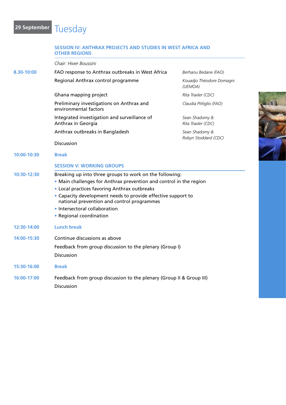# **29 September** Tuesday

|             | <b>OTHER REGIONS</b>                                                                                                                                                                                                                                                                                                                                    |                                        |  |
|-------------|---------------------------------------------------------------------------------------------------------------------------------------------------------------------------------------------------------------------------------------------------------------------------------------------------------------------------------------------------------|----------------------------------------|--|
|             | Chair: Hiver Boussini                                                                                                                                                                                                                                                                                                                                   |                                        |  |
| 8.30-10:00  | FAO response to Anthrax outbreaks in West Africa                                                                                                                                                                                                                                                                                                        | Berhanu Bedane (FAO)                   |  |
|             | Regional Anthrax control programme                                                                                                                                                                                                                                                                                                                      | Kouadjo Théodore Domagni<br>(UEMOA)    |  |
|             | Ghana mapping project                                                                                                                                                                                                                                                                                                                                   | Rita Traxler (CDC)                     |  |
|             | Preliminary investigations on Anthrax and<br>environmental factors                                                                                                                                                                                                                                                                                      | Claudia Pittiglio (FAO)                |  |
|             | Integrated investigation and surveillance of<br>Anthrax in Georgia                                                                                                                                                                                                                                                                                      | Sean Shadomy &<br>Rita Traxler (CDC)   |  |
|             | Anthrax outbreaks in Bangladesh                                                                                                                                                                                                                                                                                                                         | Sean Shadomy &<br>Robyn Stoddard (CDC) |  |
|             | Discussion                                                                                                                                                                                                                                                                                                                                              |                                        |  |
| 10:00-10:30 | <b>Break</b>                                                                                                                                                                                                                                                                                                                                            |                                        |  |
|             | <b>SESSION V: WORKING GROUPS</b>                                                                                                                                                                                                                                                                                                                        |                                        |  |
| 10:30-12:30 | Breaking up into three groups to work on the following:<br>• Main challenges for Anthrax prevention and control in the region<br>• Local practices favoring Anthrax outbreaks<br>• Capacity development needs to provide effective support to<br>national prevention and control programmes<br>• Intersectoral collaboration<br>• Regional coordination |                                        |  |
| 12:30-14:00 | <b>Lunch break</b>                                                                                                                                                                                                                                                                                                                                      |                                        |  |
| 14:00-15:30 | Continue discussions as above                                                                                                                                                                                                                                                                                                                           |                                        |  |
|             | Feedback from group discussion to the plenary (Group I)                                                                                                                                                                                                                                                                                                 |                                        |  |
|             | <b>Discussion</b>                                                                                                                                                                                                                                                                                                                                       |                                        |  |
| 15:30-16:00 | <b>Break</b>                                                                                                                                                                                                                                                                                                                                            |                                        |  |
| 16:00-17:00 | Feedback from group discussion to the plenary (Group II & Group III)                                                                                                                                                                                                                                                                                    |                                        |  |
|             | <b>Discussion</b>                                                                                                                                                                                                                                                                                                                                       |                                        |  |

**Session IV: Anthrax projects and studies in West Africa and**